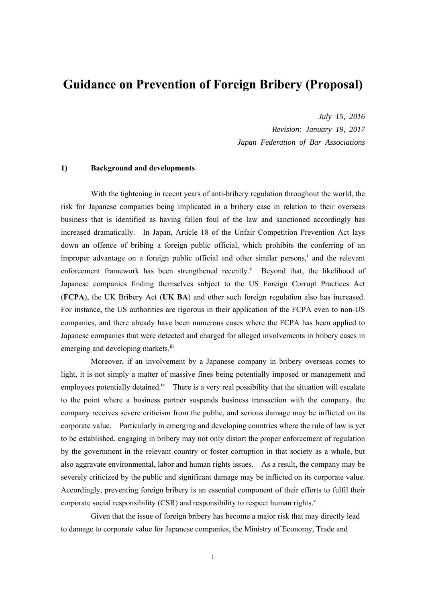# **Guidance on Prevention of Foreign Bribery (Proposal)**

*July 15, 2016 Revision: January 19, 2017 Japan Federation of Bar Associations* 

## **1) Background and developments**

 With the tightening in recent years of anti-bribery regulation throughout the world, the risk for Japanese companies being implicated in a bribery case in relation to their overseas business that is identified as having fallen foul of the law and sanctioned accordingly has increased dramatically. In Japan, Article 18 of the Unfair Competition Prevention Act lays down an offence of bribing a foreign public official, which prohibits the conferring of an improper advantage on a foreign public official and other similar persons,<sup>i</sup> and the relevant enforcement framework has been strengthened recently.<sup>ii</sup> Beyond that, the likelihood of Japanese companies finding themselves subject to the US Foreign Corrupt Practices Act (**FCPA**), the UK Bribery Act (**UK BA**) and other such foreign regulation also has increased. For instance, the US authorities are rigorous in their application of the FCPA even to non-US companies, and there already have been numerous cases where the FCPA has been applied to Japanese companies that were detected and charged for alleged involvements in bribery cases in emerging and developing markets.<sup>iii</sup>

 Moreover, if an involvement by a Japanese company in bribery overseas comes to light, it is not simply a matter of massive fines being potentially imposed or management and employees potentially detained.<sup>iv</sup> There is a very real possibility that the situation will escalate to the point where a business partner suspends business transaction with the company, the company receives severe criticism from the public, and serious damage may be inflicted on its corporate value. Particularly in emerging and developing countries where the rule of law is yet to be established, engaging in bribery may not only distort the proper enforcement of regulation by the government in the relevant country or foster corruption in that society as a whole, but also aggravate environmental, labor and human rights issues. As a result, the company may be severely criticized by the public and significant damage may be inflicted on its corporate value. Accordingly, preventing foreign bribery is an essential component of their efforts to fulfil their corporate social responsibility (CSR) and responsibility to respect human rights.<sup>v</sup>

 Given that the issue of foreign bribery has become a major risk that may directly lead to damage to corporate value for Japanese companies, the Ministry of Economy, Trade and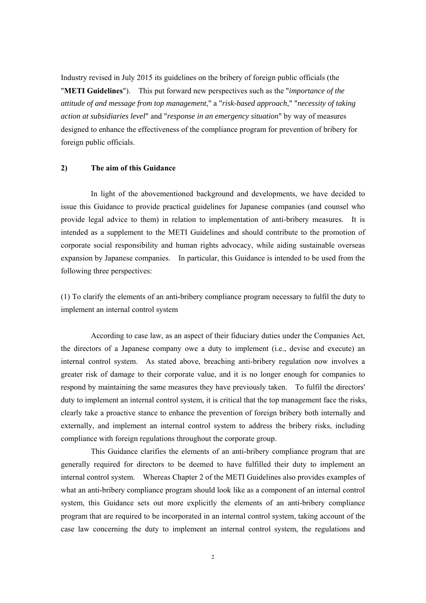Industry revised in July 2015 its guidelines on the bribery of foreign public officials (the "**METI Guidelines**"). This put forward new perspectives such as the "*importance of the attitude of and message from top management*," a "*risk-based approach*," "*necessity of taking action at subsidiaries level*" and "*response in an emergency situation*" by way of measures designed to enhance the effectiveness of the compliance program for prevention of bribery for foreign public officials.

#### **2) The aim of this Guidance**

In light of the abovementioned background and developments, we have decided to issue this Guidance to provide practical guidelines for Japanese companies (and counsel who provide legal advice to them) in relation to implementation of anti-bribery measures. It is intended as a supplement to the METI Guidelines and should contribute to the promotion of corporate social responsibility and human rights advocacy, while aiding sustainable overseas expansion by Japanese companies. In particular, this Guidance is intended to be used from the following three perspectives:

(1) To clarify the elements of an anti-bribery compliance program necessary to fulfil the duty to implement an internal control system

According to case law, as an aspect of their fiduciary duties under the Companies Act, the directors of a Japanese company owe a duty to implement (i.e., devise and execute) an internal control system. As stated above, breaching anti-bribery regulation now involves a greater risk of damage to their corporate value, and it is no longer enough for companies to respond by maintaining the same measures they have previously taken. To fulfil the directors' duty to implement an internal control system, it is critical that the top management face the risks, clearly take a proactive stance to enhance the prevention of foreign bribery both internally and externally, and implement an internal control system to address the bribery risks, including compliance with foreign regulations throughout the corporate group.

This Guidance clarifies the elements of an anti-bribery compliance program that are generally required for directors to be deemed to have fulfilled their duty to implement an internal control system. Whereas Chapter 2 of the METI Guidelines also provides examples of what an anti-bribery compliance program should look like as a component of an internal control system, this Guidance sets out more explicitly the elements of an anti-bribery compliance program that are required to be incorporated in an internal control system, taking account of the case law concerning the duty to implement an internal control system, the regulations and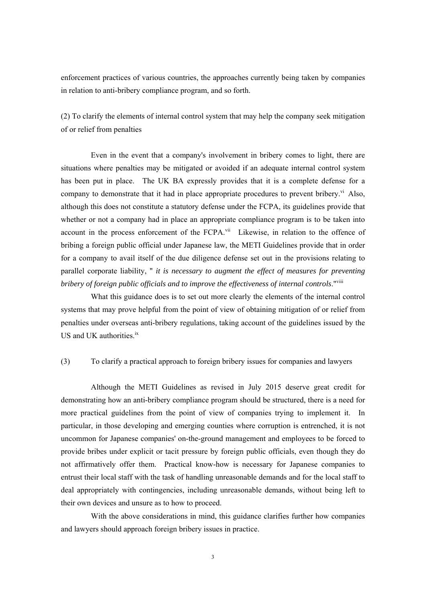enforcement practices of various countries, the approaches currently being taken by companies in relation to anti-bribery compliance program, and so forth.

(2) To clarify the elements of internal control system that may help the company seek mitigation of or relief from penalties

Even in the event that a company's involvement in bribery comes to light, there are situations where penalties may be mitigated or avoided if an adequate internal control system has been put in place. The UK BA expressly provides that it is a complete defense for a company to demonstrate that it had in place appropriate procedures to prevent bribery. $\dot{v}$ <sup>i</sup> Also, although this does not constitute a statutory defense under the FCPA, its guidelines provide that whether or not a company had in place an appropriate compliance program is to be taken into account in the process enforcement of the FCPA.<sup>vii</sup> Likewise, in relation to the offence of bribing a foreign public official under Japanese law, the METI Guidelines provide that in order for a company to avail itself of the due diligence defense set out in the provisions relating to parallel corporate liability, " *it is necessary to augment the effect of measures for preventing bribery of foreign public officials and to improve the effectiveness of internal controls*."viii

What this guidance does is to set out more clearly the elements of the internal control systems that may prove helpful from the point of view of obtaining mitigation of or relief from penalties under overseas anti-bribery regulations, taking account of the guidelines issued by the US and UK authorities.<sup>ix</sup>

#### (3) To clarify a practical approach to foreign bribery issues for companies and lawyers

Although the METI Guidelines as revised in July 2015 deserve great credit for demonstrating how an anti-bribery compliance program should be structured, there is a need for more practical guidelines from the point of view of companies trying to implement it. In particular, in those developing and emerging counties where corruption is entrenched, it is not uncommon for Japanese companies' on-the-ground management and employees to be forced to provide bribes under explicit or tacit pressure by foreign public officials, even though they do not affirmatively offer them. Practical know-how is necessary for Japanese companies to entrust their local staff with the task of handling unreasonable demands and for the local staff to deal appropriately with contingencies, including unreasonable demands, without being left to their own devices and unsure as to how to proceed.

With the above considerations in mind, this guidance clarifies further how companies and lawyers should approach foreign bribery issues in practice.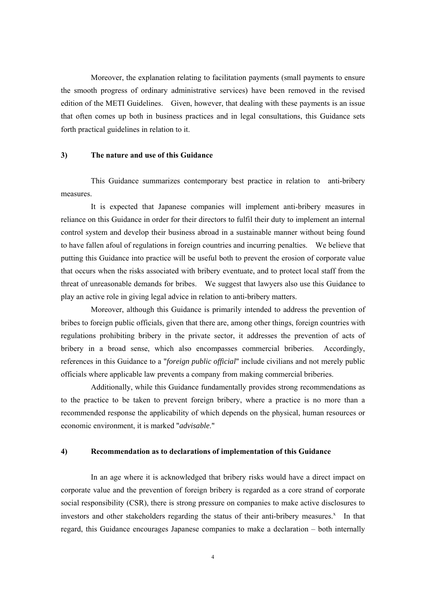Moreover, the explanation relating to facilitation payments (small payments to ensure the smooth progress of ordinary administrative services) have been removed in the revised edition of the METI Guidelines. Given, however, that dealing with these payments is an issue that often comes up both in business practices and in legal consultations, this Guidance sets forth practical guidelines in relation to it.

## **3) The nature and use of this Guidance**

 This Guidance summarizes contemporary best practice in relation to anti-bribery measures.

 It is expected that Japanese companies will implement anti-bribery measures in reliance on this Guidance in order for their directors to fulfil their duty to implement an internal control system and develop their business abroad in a sustainable manner without being found to have fallen afoul of regulations in foreign countries and incurring penalties. We believe that putting this Guidance into practice will be useful both to prevent the erosion of corporate value that occurs when the risks associated with bribery eventuate, and to protect local staff from the threat of unreasonable demands for bribes. We suggest that lawyers also use this Guidance to play an active role in giving legal advice in relation to anti-bribery matters.

 Moreover, although this Guidance is primarily intended to address the prevention of bribes to foreign public officials, given that there are, among other things, foreign countries with regulations prohibiting bribery in the private sector, it addresses the prevention of acts of bribery in a broad sense, which also encompasses commercial briberies. Accordingly, references in this Guidance to a "*foreign public official*" include civilians and not merely public officials where applicable law prevents a company from making commercial briberies.

 Additionally, while this Guidance fundamentally provides strong recommendations as to the practice to be taken to prevent foreign bribery, where a practice is no more than a recommended response the applicability of which depends on the physical, human resources or economic environment, it is marked "*advisable*."

## **4) Recommendation as to declarations of implementation of this Guidance**

 In an age where it is acknowledged that bribery risks would have a direct impact on corporate value and the prevention of foreign bribery is regarded as a core strand of corporate social responsibility (CSR), there is strong pressure on companies to make active disclosures to investors and other stakeholders regarding the status of their anti-bribery measures. $x$  In that regard, this Guidance encourages Japanese companies to make a declaration – both internally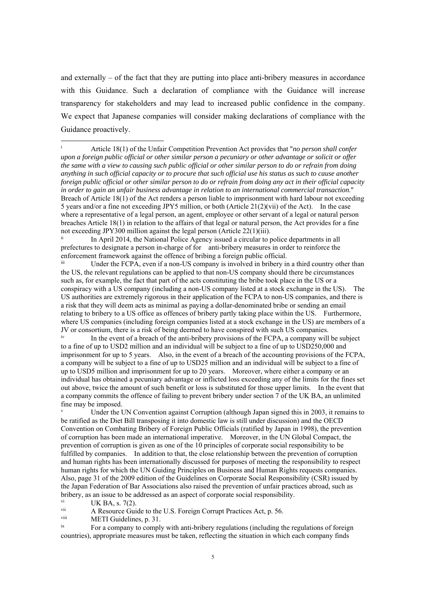and externally – of the fact that they are putting into place anti-bribery measures in accordance with this Guidance. Such a declaration of compliance with the Guidance will increase transparency for stakeholders and may lead to increased public confidence in the company. We expect that Japanese companies will consider making declarations of compliance with the Guidance proactively.

<sup>ii</sup> In April 2014, the National Police Agency issued a circular to police departments in all prefectures to designate a person in-charge of for anti-bribery measures in order to reinforce the enforcement framework against the offence of bribing a foreign public official.

iii Under the FCPA, even if a non-US company is involved in bribery in a third country other than the US, the relevant regulations can be applied to that non-US company should there be circumstances such as, for example, the fact that part of the acts constituting the bribe took place in the US or a conspiracy with a US company (including a non-US company listed at a stock exchange in the US). The US authorities are extremely rigorous in their application of the FCPA to non-US companies, and there is a risk that they will deem acts as minimal as paying a dollar-denominated bribe or sending an email relating to bribery to a US office as offences of bribery partly taking place within the US. Furthermore, where US companies (including foreign companies listed at a stock exchange in the US) are members of a JV or consortium, there is a risk of being deemed to have conspired with such US companies.

<sup>iv</sup> In the event of a breach of the anti-bribery provisions of the FCPA, a company will be subject to a fine of up to USD2 million and an individual will be subject to a fine of up to USD250,000 and imprisonment for up to 5 years. Also, in the event of a breach of the accounting provisions of the FCPA, a company will be subject to a fine of up to USD25 million and an individual will be subject to a fine of up to USD5 million and imprisonment for up to 20 years. Moreover, where either a company or an individual has obtained a pecuniary advantage or inflicted loss exceeding any of the limits for the fines set out above, twice the amount of such benefit or loss is substituted for those upper limits. In the event that a company commits the offence of failing to prevent bribery under section 7 of the UK BA, an unlimited fine may be imposed.

v Under the UN Convention against Corruption (although Japan signed this in 2003, it remains to be ratified as the Diet Bill transposing it into domestic law is still under discussion) and the OECD Convention on Combating Bribery of Foreign Public Officials (ratified by Japan in 1998), the prevention of corruption has been made an international imperative. Moreover, in the UN Global Compact, the prevention of corruption is given as one of the 10 principles of corporate social responsibility to be fulfilled by companies. In addition to that, the close relationship between the prevention of corruption and human rights has been internationally discussed for purposes of meeting the responsibility to respect human rights for which the UN Guiding Principles on Business and Human Rights requests companies. Also, page 31 of the 2009 edition of the Guidelines on Corporate Social Responsibility (CSR) issued by the Japan Federation of Bar Associations also raised the prevention of unfair practices abroad, such as bribery, as an issue to be addressed as an aspect of corporate social responsibility.

vi UK BA, s.  $7(2)$ .

1

A Resource Guide to the U.S. Foreign Corrupt Practices Act, p. 56.

 $METI$  Guidelines, p. 31.

For a company to comply with anti-bribery regulations (including the regulations of foreign countries), appropriate measures must be taken, reflecting the situation in which each company finds

i Article 18(1) of the Unfair Competition Prevention Act provides that "*no person shall confer upon a foreign public official or other similar person a pecuniary or other advantage or solicit or offer the same with a view to causing such public official or other similar person to do or refrain from doing anything in such official capacity or to procure that such official use his status as such to cause another foreign public official or other similar person to do or refrain from doing any act in their official capacity in order to gain an unfair business advantage in relation to an international commercial transaction*." Breach of Article 18(1) of the Act renders a person liable to imprisonment with hard labour not exceeding 5 years and/or a fine not exceeding JPY5 million, or both (Article 21(2)(vii) of the Act). In the case where a representative of a legal person, an agent, employee or other servant of a legal or natural person breaches Article 18(1) in relation to the affairs of that legal or natural person, the Act provides for a fine not exceeding JPY300 million against the legal person (Article 22(1)(iii).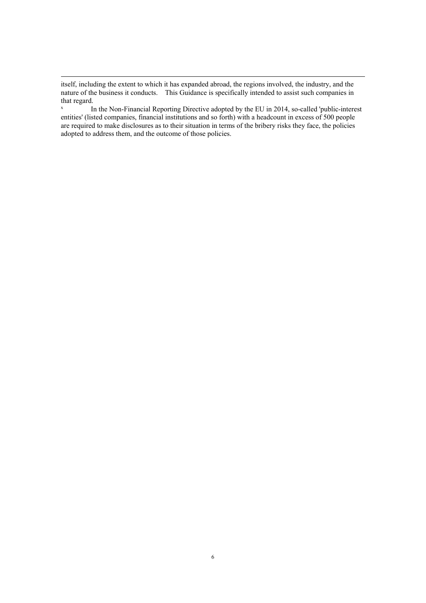1

x In the Non-Financial Reporting Directive adopted by the EU in 2014, so-called 'public-interest entities' (listed companies, financial institutions and so forth) with a headcount in excess of 500 people are required to make disclosures as to their situation in terms of the bribery risks they face, the policies adopted to address them, and the outcome of those policies.

itself, including the extent to which it has expanded abroad, the regions involved, the industry, and the nature of the business it conducts. This Guidance is specifically intended to assist such companies in that regard.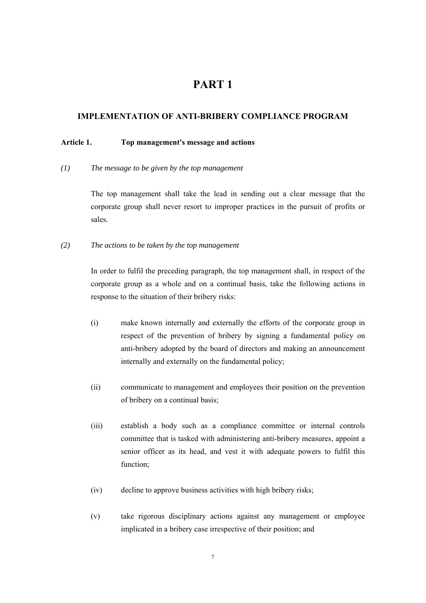## **PART 1**

## **IMPLEMENTATION OF ANTI-BRIBERY COMPLIANCE PROGRAM**

## **Article 1. Top management's message and actions**

#### *(1) The message to be given by the top management*

The top management shall take the lead in sending out a clear message that the corporate group shall never resort to improper practices in the pursuit of profits or sales.

#### *(2) The actions to be taken by the top management*

 In order to fulfil the preceding paragraph, the top management shall, in respect of the corporate group as a whole and on a continual basis, take the following actions in response to the situation of their bribery risks:

- (i) make known internally and externally the efforts of the corporate group in respect of the prevention of bribery by signing a fundamental policy on anti-bribery adopted by the board of directors and making an announcement internally and externally on the fundamental policy;
- (ii) communicate to management and employees their position on the prevention of bribery on a continual basis;
- (iii) establish a body such as a compliance committee or internal controls committee that is tasked with administering anti-bribery measures, appoint a senior officer as its head, and vest it with adequate powers to fulfil this function;
- (iv) decline to approve business activities with high bribery risks;
- (v) take rigorous disciplinary actions against any management or employee implicated in a bribery case irrespective of their position; and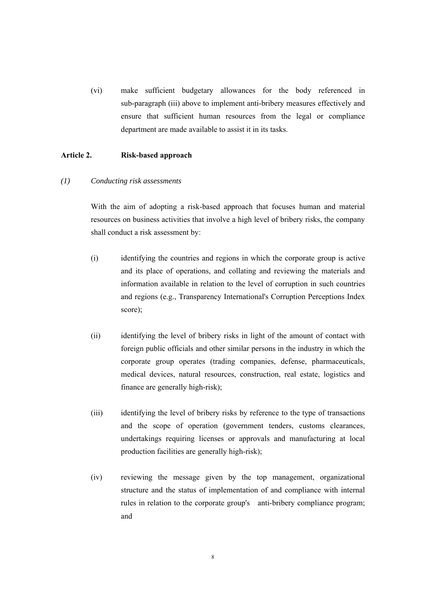(vi) make sufficient budgetary allowances for the body referenced in sub-paragraph (iii) above to implement anti-bribery measures effectively and ensure that sufficient human resources from the legal or compliance department are made available to assist it in its tasks.

### **Article 2. Risk-based approach**

#### *(1) Conducting risk assessments*

With the aim of adopting a risk-based approach that focuses human and material resources on business activities that involve a high level of bribery risks, the company shall conduct a risk assessment by:

- (i) identifying the countries and regions in which the corporate group is active and its place of operations, and collating and reviewing the materials and information available in relation to the level of corruption in such countries and regions (e.g., Transparency International's Corruption Perceptions Index score);
- (ii) identifying the level of bribery risks in light of the amount of contact with foreign public officials and other similar persons in the industry in which the corporate group operates (trading companies, defense, pharmaceuticals, medical devices, natural resources, construction, real estate, logistics and finance are generally high-risk);
- (iii) identifying the level of bribery risks by reference to the type of transactions and the scope of operation (government tenders, customs clearances, undertakings requiring licenses or approvals and manufacturing at local production facilities are generally high-risk);
- (iv) reviewing the message given by the top management, organizational structure and the status of implementation of and compliance with internal rules in relation to the corporate group's anti-bribery compliance program; and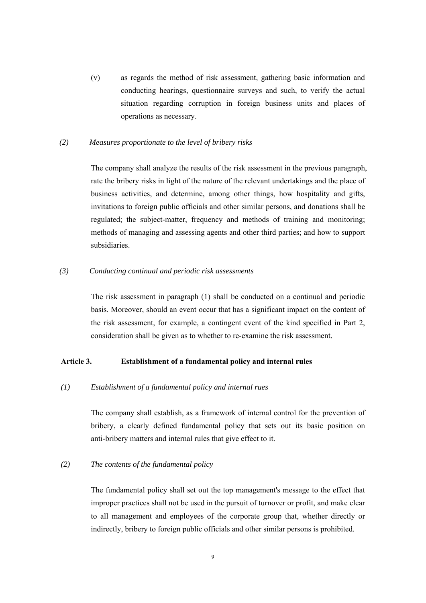(v) as regards the method of risk assessment, gathering basic information and conducting hearings, questionnaire surveys and such, to verify the actual situation regarding corruption in foreign business units and places of operations as necessary.

#### *(2) Measures proportionate to the level of bribery risks*

The company shall analyze the results of the risk assessment in the previous paragraph, rate the bribery risks in light of the nature of the relevant undertakings and the place of business activities, and determine, among other things, how hospitality and gifts, invitations to foreign public officials and other similar persons, and donations shall be regulated; the subject-matter, frequency and methods of training and monitoring; methods of managing and assessing agents and other third parties; and how to support subsidiaries.

#### *(3) Conducting continual and periodic risk assessments*

The risk assessment in paragraph (1) shall be conducted on a continual and periodic basis. Moreover, should an event occur that has a significant impact on the content of the risk assessment, for example, a contingent event of the kind specified in Part 2, consideration shall be given as to whether to re-examine the risk assessment.

### **Article 3. Establishment of a fundamental policy and internal rules**

## *(1) Establishment of a fundamental policy and internal rues*

The company shall establish, as a framework of internal control for the prevention of bribery, a clearly defined fundamental policy that sets out its basic position on anti-bribery matters and internal rules that give effect to it.

#### *(2) The contents of the fundamental policy*

The fundamental policy shall set out the top management's message to the effect that improper practices shall not be used in the pursuit of turnover or profit, and make clear to all management and employees of the corporate group that, whether directly or indirectly, bribery to foreign public officials and other similar persons is prohibited.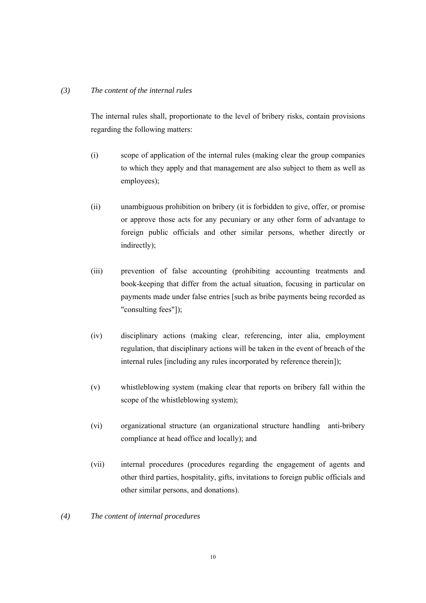## *(3) The content of the internal rules*

The internal rules shall, proportionate to the level of bribery risks, contain provisions regarding the following matters:

- (i) scope of application of the internal rules (making clear the group companies to which they apply and that management are also subject to them as well as employees);
- (ii) unambiguous prohibition on bribery (it is forbidden to give, offer, or promise or approve those acts for any pecuniary or any other form of advantage to foreign public officials and other similar persons, whether directly or indirectly);
- (iii) prevention of false accounting (prohibiting accounting treatments and book-keeping that differ from the actual situation, focusing in particular on payments made under false entries [such as bribe payments being recorded as "consulting fees"]);
- (iv) disciplinary actions (making clear, referencing, inter alia, employment regulation, that disciplinary actions will be taken in the event of breach of the internal rules [including any rules incorporated by reference therein]);
- (v) whistleblowing system (making clear that reports on bribery fall within the scope of the whistleblowing system);
- (vi) organizational structure (an organizational structure handling anti-bribery compliance at head office and locally); and
- (vii) internal procedures (procedures regarding the engagement of agents and other third parties, hospitality, gifts, invitations to foreign public officials and other similar persons, and donations).
- *(4) The content of internal procedures*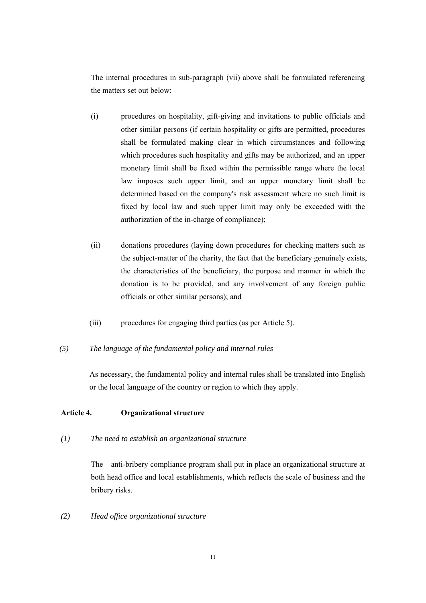The internal procedures in sub-paragraph (vii) above shall be formulated referencing the matters set out below:

- (i) procedures on hospitality, gift-giving and invitations to public officials and other similar persons (if certain hospitality or gifts are permitted, procedures shall be formulated making clear in which circumstances and following which procedures such hospitality and gifts may be authorized, and an upper monetary limit shall be fixed within the permissible range where the local law imposes such upper limit, and an upper monetary limit shall be determined based on the company's risk assessment where no such limit is fixed by local law and such upper limit may only be exceeded with the authorization of the in-charge of compliance);
- (ii) donations procedures (laying down procedures for checking matters such as the subject-matter of the charity, the fact that the beneficiary genuinely exists, the characteristics of the beneficiary, the purpose and manner in which the donation is to be provided, and any involvement of any foreign public officials or other similar persons); and
- (iii) procedures for engaging third parties (as per Article 5).

## *(5) The language of the fundamental policy and internal rules*

 As necessary, the fundamental policy and internal rules shall be translated into English or the local language of the country or region to which they apply.

## **Article 4. Organizational structure**

## *(1) The need to establish an organizational structure*

The anti-bribery compliance program shall put in place an organizational structure at both head office and local establishments, which reflects the scale of business and the bribery risks.

## *(2) Head office organizational structure*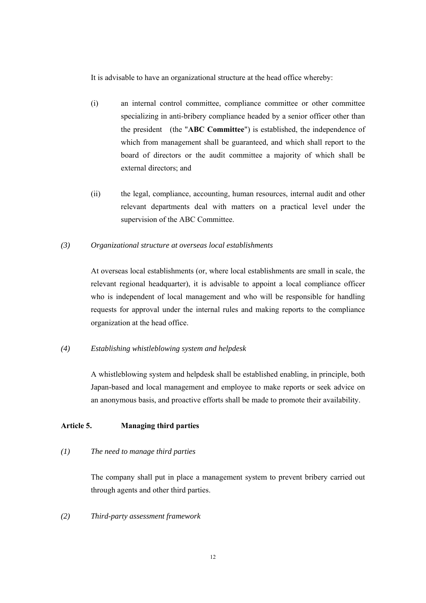It is advisable to have an organizational structure at the head office whereby:

- (i) an internal control committee, compliance committee or other committee specializing in anti-bribery compliance headed by a senior officer other than the president (the "**ABC Committee**") is established, the independence of which from management shall be guaranteed, and which shall report to the board of directors or the audit committee a majority of which shall be external directors; and
- (ii) the legal, compliance, accounting, human resources, internal audit and other relevant departments deal with matters on a practical level under the supervision of the ABC Committee.

#### *(3) Organizational structure at overseas local establishments*

At overseas local establishments (or, where local establishments are small in scale, the relevant regional headquarter), it is advisable to appoint a local compliance officer who is independent of local management and who will be responsible for handling requests for approval under the internal rules and making reports to the compliance organization at the head office.

## *(4) Establishing whistleblowing system and helpdesk*

A whistleblowing system and helpdesk shall be established enabling, in principle, both Japan-based and local management and employee to make reports or seek advice on an anonymous basis, and proactive efforts shall be made to promote their availability.

#### **Article 5. Managing third parties**

#### *(1) The need to manage third parties*

The company shall put in place a management system to prevent bribery carried out through agents and other third parties.

#### *(2) Third-party assessment framework*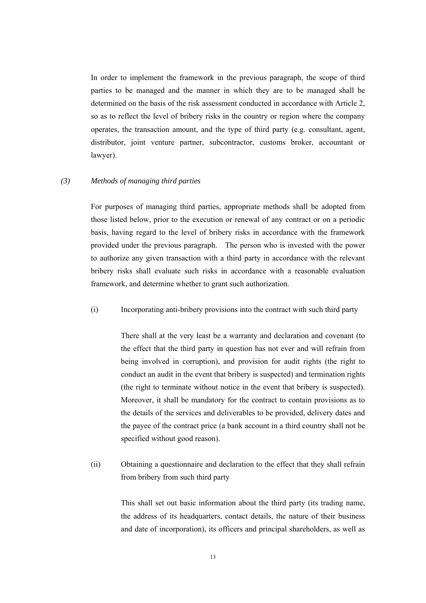In order to implement the framework in the previous paragraph, the scope of third parties to be managed and the manner in which they are to be managed shall be determined on the basis of the risk assessment conducted in accordance with Article 2, so as to reflect the level of bribery risks in the country or region where the company operates, the transaction amount, and the type of third party (e.g*.* consultant, agent, distributor, joint venture partner, subcontractor, customs broker, accountant or lawyer).

#### *(3) Methods of managing third parties*

For purposes of managing third parties, appropriate methods shall be adopted from those listed below, prior to the execution or renewal of any contract or on a periodic basis, having regard to the level of bribery risks in accordance with the framework provided under the previous paragraph. The person who is invested with the power to authorize any given transaction with a third party in accordance with the relevant bribery risks shall evaluate such risks in accordance with a reasonable evaluation framework, and determine whether to grant such authorization.

#### (i) Incorporating anti-bribery provisions into the contract with such third party

There shall at the very least be a warranty and declaration and covenant (to the effect that the third party in question has not ever and will refrain from being involved in corruption), and provision for audit rights (the right to conduct an audit in the event that bribery is suspected) and termination rights (the right to terminate without notice in the event that bribery is suspected). Moreover, it shall be mandatory for the contract to contain provisions as to the details of the services and deliverables to be provided, delivery dates and the payee of the contract price (a bank account in a third country shall not be specified without good reason).

(ii) Obtaining a questionnaire and declaration to the effect that they shall refrain from bribery from such third party

> This shall set out basic information about the third party (its trading name, the address of its headquarters, contact details, the nature of their business and date of incorporation), its officers and principal shareholders, as well as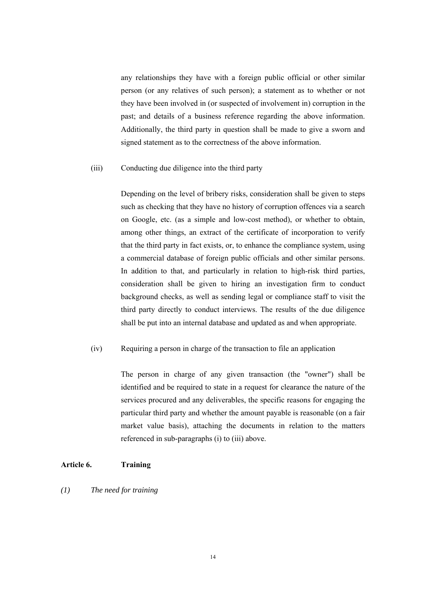any relationships they have with a foreign public official or other similar person (or any relatives of such person); a statement as to whether or not they have been involved in (or suspected of involvement in) corruption in the past; and details of a business reference regarding the above information. Additionally, the third party in question shall be made to give a sworn and signed statement as to the correctness of the above information.

#### (iii) Conducting due diligence into the third party

Depending on the level of bribery risks, consideration shall be given to steps such as checking that they have no history of corruption offences via a search on Google, etc. (as a simple and low-cost method), or whether to obtain, among other things, an extract of the certificate of incorporation to verify that the third party in fact exists, or, to enhance the compliance system, using a commercial database of foreign public officials and other similar persons. In addition to that, and particularly in relation to high-risk third parties, consideration shall be given to hiring an investigation firm to conduct background checks, as well as sending legal or compliance staff to visit the third party directly to conduct interviews. The results of the due diligence shall be put into an internal database and updated as and when appropriate.

#### (iv) Requiring a person in charge of the transaction to file an application

 The person in charge of any given transaction (the "owner") shall be identified and be required to state in a request for clearance the nature of the services procured and any deliverables, the specific reasons for engaging the particular third party and whether the amount payable is reasonable (on a fair market value basis), attaching the documents in relation to the matters referenced in sub-paragraphs (i) to (iii) above.

#### **Article 6. Training**

## *(1) The need for training*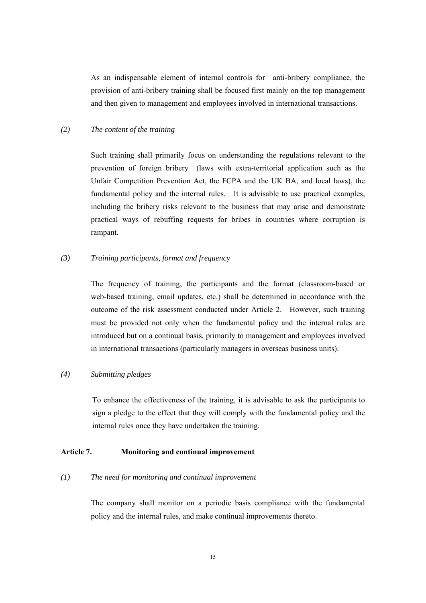As an indispensable element of internal controls for anti-bribery compliance, the provision of anti-bribery training shall be focused first mainly on the top management and then given to management and employees involved in international transactions.

## *(2) The content of the training*

Such training shall primarily focus on understanding the regulations relevant to the prevention of foreign bribery (laws with extra-territorial application such as the Unfair Competition Prevention Act, the FCPA and the UK BA, and local laws), the fundamental policy and the internal rules. It is advisable to use practical examples, including the bribery risks relevant to the business that may arise and demonstrate practical ways of rebuffing requests for bribes in countries where corruption is rampant.

## *(3) Training participants, format and frequency*

The frequency of training, the participants and the format (classroom-based or web-based training, email updates, etc.) shall be determined in accordance with the outcome of the risk assessment conducted under Article 2. However, such training must be provided not only when the fundamental policy and the internal rules are introduced but on a continual basis, primarily to management and employees involved in international transactions (particularly managers in overseas business units).

## *(4) Submitting pledges*

To enhance the effectiveness of the training, it is advisable to ask the participants to sign a pledge to the effect that they will comply with the fundamental policy and the internal rules once they have undertaken the training.

## **Article 7. Monitoring and continual improvement**

#### *(1) The need for monitoring and continual improvement*

The company shall monitor on a periodic basis compliance with the fundamental policy and the internal rules, and make continual improvements thereto.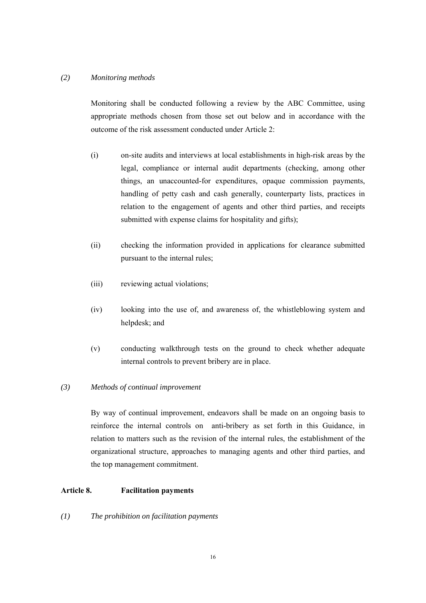#### *(2) Monitoring methods*

Monitoring shall be conducted following a review by the ABC Committee, using appropriate methods chosen from those set out below and in accordance with the outcome of the risk assessment conducted under Article 2:

- (i) on-site audits and interviews at local establishments in high-risk areas by the legal, compliance or internal audit departments (checking, among other things, an unaccounted-for expenditures, opaque commission payments, handling of petty cash and cash generally, counterparty lists, practices in relation to the engagement of agents and other third parties, and receipts submitted with expense claims for hospitality and gifts);
- (ii) checking the information provided in applications for clearance submitted pursuant to the internal rules;
- (iii) reviewing actual violations;
- (iv) looking into the use of, and awareness of, the whistleblowing system and helpdesk; and
- (v) conducting walkthrough tests on the ground to check whether adequate internal controls to prevent bribery are in place.

## *(3) Methods of continual improvement*

By way of continual improvement, endeavors shall be made on an ongoing basis to reinforce the internal controls on anti-bribery as set forth in this Guidance, in relation to matters such as the revision of the internal rules, the establishment of the organizational structure, approaches to managing agents and other third parties, and the top management commitment.

#### **Article 8. Facilitation payments**

*(1) The prohibition on facilitation payments*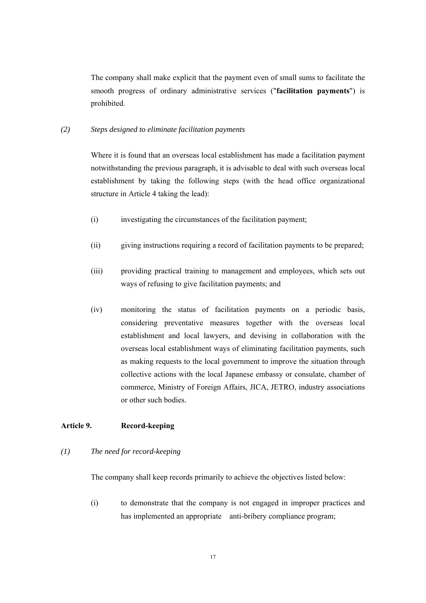The company shall make explicit that the payment even of small sums to facilitate the smooth progress of ordinary administrative services ("**facilitation payments**") is prohibited.

## *(2) Steps designed to eliminate facilitation payments*

Where it is found that an overseas local establishment has made a facilitation payment notwithstanding the previous paragraph, it is advisable to deal with such overseas local establishment by taking the following steps (with the head office organizational structure in Article 4 taking the lead):

- (i) investigating the circumstances of the facilitation payment;
- (ii) giving instructions requiring a record of facilitation payments to be prepared;
- (iii) providing practical training to management and employees, which sets out ways of refusing to give facilitation payments; and
- (iv) monitoring the status of facilitation payments on a periodic basis, considering preventative measures together with the overseas local establishment and local lawyers, and devising in collaboration with the overseas local establishment ways of eliminating facilitation payments, such as making requests to the local government to improve the situation through collective actions with the local Japanese embassy or consulate, chamber of commerce, Ministry of Foreign Affairs, JICA, JETRO, industry associations or other such bodies.

#### **Article 9. Record-keeping**

#### *(1) The need for record-keeping*

The company shall keep records primarily to achieve the objectives listed below:

(i) to demonstrate that the company is not engaged in improper practices and has implemented an appropriate anti-bribery compliance program;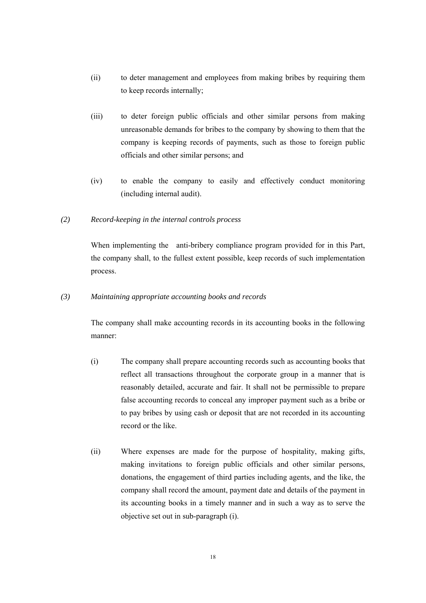- (ii) to deter management and employees from making bribes by requiring them to keep records internally;
- (iii) to deter foreign public officials and other similar persons from making unreasonable demands for bribes to the company by showing to them that the company is keeping records of payments, such as those to foreign public officials and other similar persons; and
- (iv) to enable the company to easily and effectively conduct monitoring (including internal audit).

#### *(2) Record-keeping in the internal controls process*

When implementing the anti-bribery compliance program provided for in this Part, the company shall, to the fullest extent possible, keep records of such implementation process.

#### *(3) Maintaining appropriate accounting books and records*

The company shall make accounting records in its accounting books in the following manner:

- (i) The company shall prepare accounting records such as accounting books that reflect all transactions throughout the corporate group in a manner that is reasonably detailed, accurate and fair. It shall not be permissible to prepare false accounting records to conceal any improper payment such as a bribe or to pay bribes by using cash or deposit that are not recorded in its accounting record or the like.
- (ii) Where expenses are made for the purpose of hospitality, making gifts, making invitations to foreign public officials and other similar persons, donations, the engagement of third parties including agents, and the like, the company shall record the amount, payment date and details of the payment in its accounting books in a timely manner and in such a way as to serve the objective set out in sub-paragraph (i).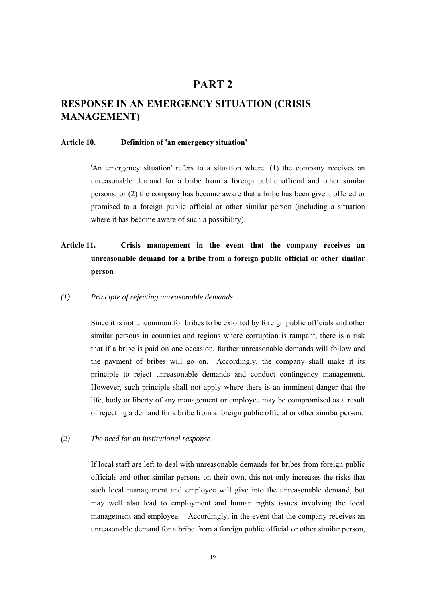## **PART 2**

## **RESPONSE IN AN EMERGENCY SITUATION (CRISIS MANAGEMENT)**

#### **Article 10. Definition of 'an emergency situation'**

'An emergency situation' refers to a situation where: (1) the company receives an unreasonable demand for a bribe from a foreign public official and other similar persons; or (2) the company has become aware that a bribe has been given, offered or promised to a foreign public official or other similar person (including a situation where it has become aware of such a possibility).

## **Article 11. Crisis management in the event that the company receives an unreasonable demand for a bribe from a foreign public official or other similar person**

#### *(1) Principle of rejecting unreasonable demands*

Since it is not uncommon for bribes to be extorted by foreign public officials and other similar persons in countries and regions where corruption is rampant, there is a risk that if a bribe is paid on one occasion, further unreasonable demands will follow and the payment of bribes will go on. Accordingly, the company shall make it its principle to reject unreasonable demands and conduct contingency management. However, such principle shall not apply where there is an imminent danger that the life, body or liberty of any management or employee may be compromised as a result of rejecting a demand for a bribe from a foreign public official or other similar person.

#### *(2) The need for an institutional response*

If local staff are left to deal with unreasonable demands for bribes from foreign public officials and other similar persons on their own, this not only increases the risks that such local management and employee will give into the unreasonable demand, but may well also lead to employment and human rights issues involving the local management and employee. Accordingly, in the event that the company receives an unreasonable demand for a bribe from a foreign public official or other similar person,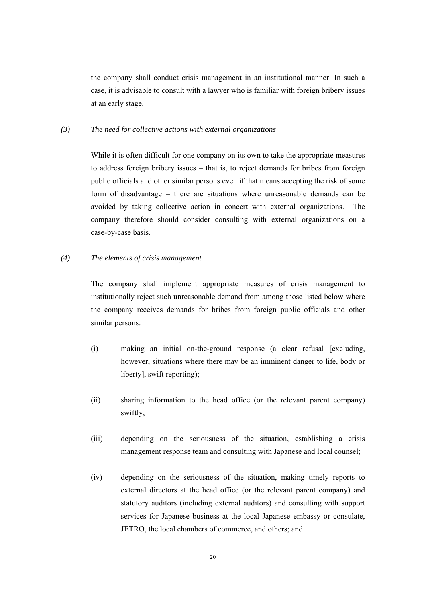the company shall conduct crisis management in an institutional manner. In such a case, it is advisable to consult with a lawyer who is familiar with foreign bribery issues at an early stage.

#### *(3) The need for collective actions with external organizations*

While it is often difficult for one company on its own to take the appropriate measures to address foreign bribery issues – that is, to reject demands for bribes from foreign public officials and other similar persons even if that means accepting the risk of some form of disadvantage – there are situations where unreasonable demands can be avoided by taking collective action in concert with external organizations. The company therefore should consider consulting with external organizations on a case-by-case basis.

#### *(4) The elements of crisis management*

The company shall implement appropriate measures of crisis management to institutionally reject such unreasonable demand from among those listed below where the company receives demands for bribes from foreign public officials and other similar persons:

- (i) making an initial on-the-ground response (a clear refusal [excluding, however, situations where there may be an imminent danger to life, body or liberty], swift reporting);
- (ii) sharing information to the head office (or the relevant parent company) swiftly;
- (iii) depending on the seriousness of the situation, establishing a crisis management response team and consulting with Japanese and local counsel;
- (iv) depending on the seriousness of the situation, making timely reports to external directors at the head office (or the relevant parent company) and statutory auditors (including external auditors) and consulting with support services for Japanese business at the local Japanese embassy or consulate, JETRO, the local chambers of commerce, and others; and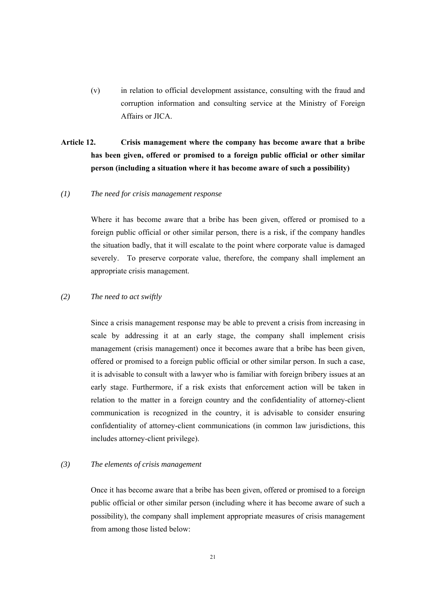(v) in relation to official development assistance, consulting with the fraud and corruption information and consulting service at the Ministry of Foreign Affairs or JICA.

## **Article 12. Crisis management where the company has become aware that a bribe has been given, offered or promised to a foreign public official or other similar person (including a situation where it has become aware of such a possibility)**

## *(1) The need for crisis management response*

Where it has become aware that a bribe has been given, offered or promised to a foreign public official or other similar person, there is a risk, if the company handles the situation badly, that it will escalate to the point where corporate value is damaged severely. To preserve corporate value, therefore, the company shall implement an appropriate crisis management.

#### *(2) The need to act swiftly*

Since a crisis management response may be able to prevent a crisis from increasing in scale by addressing it at an early stage, the company shall implement crisis management (crisis management) once it becomes aware that a bribe has been given, offered or promised to a foreign public official or other similar person. In such a case, it is advisable to consult with a lawyer who is familiar with foreign bribery issues at an early stage. Furthermore, if a risk exists that enforcement action will be taken in relation to the matter in a foreign country and the confidentiality of attorney-client communication is recognized in the country, it is advisable to consider ensuring confidentiality of attorney-client communications (in common law jurisdictions, this includes attorney-client privilege).

#### *(3) The elements of crisis management*

Once it has become aware that a bribe has been given, offered or promised to a foreign public official or other similar person (including where it has become aware of such a possibility), the company shall implement appropriate measures of crisis management from among those listed below: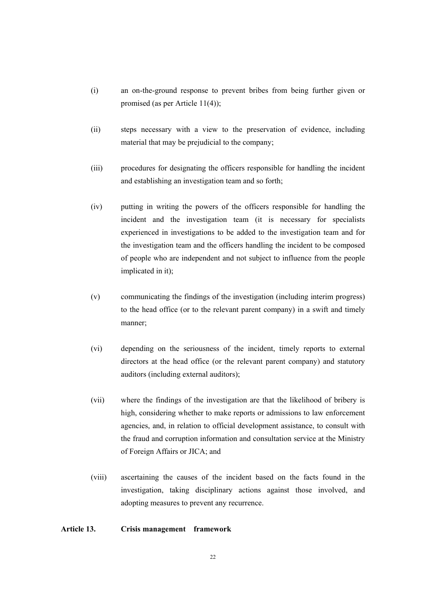- (i) an on-the-ground response to prevent bribes from being further given or promised (as per Article 11(4));
- (ii) steps necessary with a view to the preservation of evidence, including material that may be prejudicial to the company;
- (iii) procedures for designating the officers responsible for handling the incident and establishing an investigation team and so forth;
- (iv) putting in writing the powers of the officers responsible for handling the incident and the investigation team (it is necessary for specialists experienced in investigations to be added to the investigation team and for the investigation team and the officers handling the incident to be composed of people who are independent and not subject to influence from the people implicated in it);
- (v) communicating the findings of the investigation (including interim progress) to the head office (or to the relevant parent company) in a swift and timely manner;
- (vi) depending on the seriousness of the incident, timely reports to external directors at the head office (or the relevant parent company) and statutory auditors (including external auditors);
- (vii) where the findings of the investigation are that the likelihood of bribery is high, considering whether to make reports or admissions to law enforcement agencies, and, in relation to official development assistance, to consult with the fraud and corruption information and consultation service at the Ministry of Foreign Affairs or JICA; and
- (viii) ascertaining the causes of the incident based on the facts found in the investigation, taking disciplinary actions against those involved, and adopting measures to prevent any recurrence.

#### **Article 13. Crisis management framework**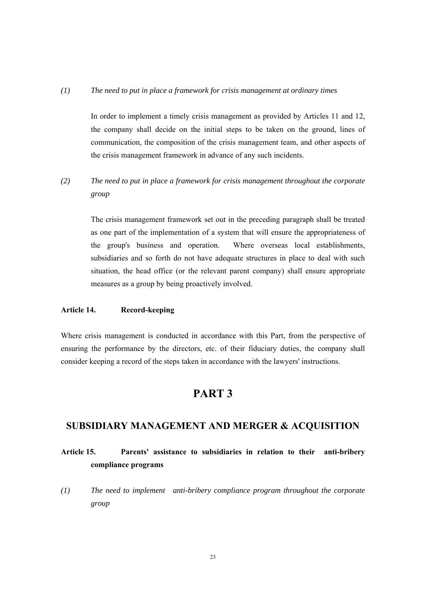## *(1) The need to put in place a framework for crisis management at ordinary times*

 In order to implement a timely crisis management as provided by Articles 11 and 12, the company shall decide on the initial steps to be taken on the ground, lines of communication, the composition of the crisis management team, and other aspects of the crisis management framework in advance of any such incidents.

## *(2) The need to put in place a framework for crisis management throughout the corporate group*

The crisis management framework set out in the preceding paragraph shall be treated as one part of the implementation of a system that will ensure the appropriateness of the group's business and operation. Where overseas local establishments, subsidiaries and so forth do not have adequate structures in place to deal with such situation, the head office (or the relevant parent company) shall ensure appropriate measures as a group by being proactively involved.

#### **Article 14. Record-keeping**

Where crisis management is conducted in accordance with this Part, from the perspective of ensuring the performance by the directors, etc. of their fiduciary duties, the company shall consider keeping a record of the steps taken in accordance with the lawyers' instructions.

## **PART 3**

## **SUBSIDIARY MANAGEMENT AND MERGER & ACQUISITION**

## **Article 15. Parents' assistance to subsidiaries in relation to their anti-bribery compliance programs**

*(1) The need to implement anti-bribery compliance program throughout the corporate group*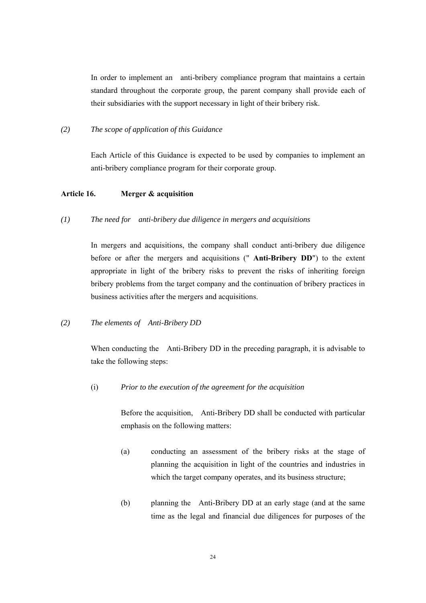In order to implement an anti-bribery compliance program that maintains a certain standard throughout the corporate group, the parent company shall provide each of their subsidiaries with the support necessary in light of their bribery risk.

## *(2) The scope of application of this Guidance*

 Each Article of this Guidance is expected to be used by companies to implement an anti-bribery compliance program for their corporate group.

## **Article 16. Merger & acquisition**

## *(1) The need for anti-bribery due diligence in mergers and acquisitions*

In mergers and acquisitions, the company shall conduct anti-bribery due diligence before or after the mergers and acquisitions (" **Anti-Bribery DD**") to the extent appropriate in light of the bribery risks to prevent the risks of inheriting foreign bribery problems from the target company and the continuation of bribery practices in business activities after the mergers and acquisitions.

#### *(2) The elements of Anti-Bribery DD*

When conducting the Anti-Bribery DD in the preceding paragraph, it is advisable to take the following steps:

## (i) *Prior to the execution of the agreement for the acquisition*

Before the acquisition, Anti-Bribery DD shall be conducted with particular emphasis on the following matters:

- (a) conducting an assessment of the bribery risks at the stage of planning the acquisition in light of the countries and industries in which the target company operates, and its business structure;
- (b) planning the Anti-Bribery DD at an early stage (and at the same time as the legal and financial due diligences for purposes of the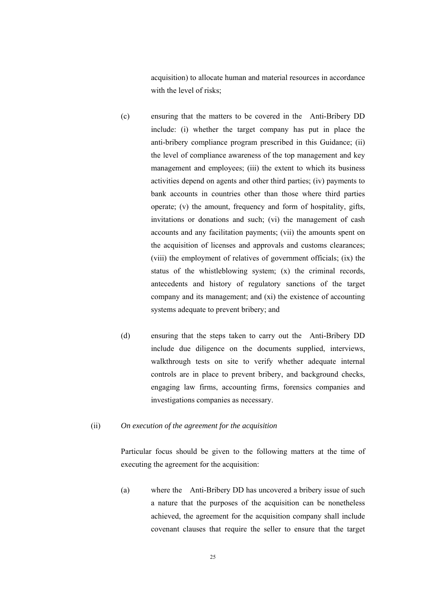acquisition) to allocate human and material resources in accordance with the level of risks;

- (c) ensuring that the matters to be covered in the Anti-Bribery DD include: (i) whether the target company has put in place the anti-bribery compliance program prescribed in this Guidance; (ii) the level of compliance awareness of the top management and key management and employees; (iii) the extent to which its business activities depend on agents and other third parties; (iv) payments to bank accounts in countries other than those where third parties operate; (v) the amount, frequency and form of hospitality, gifts, invitations or donations and such; (vi) the management of cash accounts and any facilitation payments; (vii) the amounts spent on the acquisition of licenses and approvals and customs clearances; (viii) the employment of relatives of government officials; (ix) the status of the whistleblowing system; (x) the criminal records, antecedents and history of regulatory sanctions of the target company and its management; and (xi) the existence of accounting systems adequate to prevent bribery; and
- (d) ensuring that the steps taken to carry out the Anti-Bribery DD include due diligence on the documents supplied, interviews, walkthrough tests on site to verify whether adequate internal controls are in place to prevent bribery, and background checks, engaging law firms, accounting firms, forensics companies and investigations companies as necessary.

#### (ii) *On execution of the agreement for the acquisition*

Particular focus should be given to the following matters at the time of executing the agreement for the acquisition:

(a) where the Anti-Bribery DD has uncovered a bribery issue of such a nature that the purposes of the acquisition can be nonetheless achieved, the agreement for the acquisition company shall include covenant clauses that require the seller to ensure that the target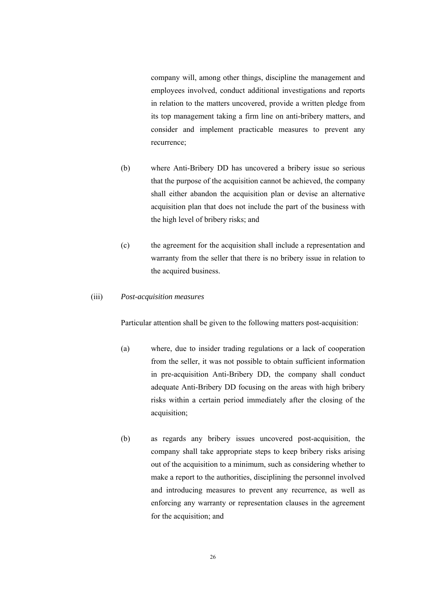company will, among other things, discipline the management and employees involved, conduct additional investigations and reports in relation to the matters uncovered, provide a written pledge from its top management taking a firm line on anti-bribery matters, and consider and implement practicable measures to prevent any recurrence;

- (b) where Anti-Bribery DD has uncovered a bribery issue so serious that the purpose of the acquisition cannot be achieved, the company shall either abandon the acquisition plan or devise an alternative acquisition plan that does not include the part of the business with the high level of bribery risks; and
- (c) the agreement for the acquisition shall include a representation and warranty from the seller that there is no bribery issue in relation to the acquired business.

#### (iii) *Post-acquisition measures*

Particular attention shall be given to the following matters post-acquisition:

- (a) where, due to insider trading regulations or a lack of cooperation from the seller, it was not possible to obtain sufficient information in pre-acquisition Anti-Bribery DD, the company shall conduct adequate Anti-Bribery DD focusing on the areas with high bribery risks within a certain period immediately after the closing of the acquisition;
- (b) as regards any bribery issues uncovered post-acquisition, the company shall take appropriate steps to keep bribery risks arising out of the acquisition to a minimum, such as considering whether to make a report to the authorities, disciplining the personnel involved and introducing measures to prevent any recurrence, as well as enforcing any warranty or representation clauses in the agreement for the acquisition; and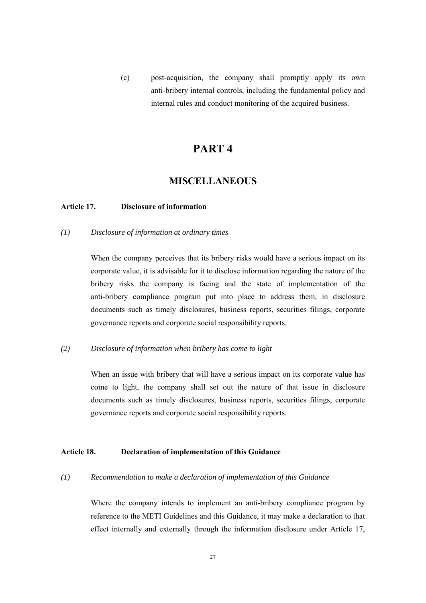(c) post-acquisition, the company shall promptly apply its own anti-bribery internal controls, including the fundamental policy and internal rules and conduct monitoring of the acquired business.

# **PART 4**

## **MISCELLANEOUS**

#### **Article 17. Disclosure of information**

### *(1) Disclosure of information at ordinary times*

When the company perceives that its bribery risks would have a serious impact on its corporate value, it is advisable for it to disclose information regarding the nature of the bribery risks the company is facing and the state of implementation of the anti-bribery compliance program put into place to address them, in disclosure documents such as timely disclosures, business reports, securities filings, corporate governance reports and corporate social responsibility reports.

## *(2) Disclosure of information when bribery has come to light*

 When an issue with bribery that will have a serious impact on its corporate value has come to light, the company shall set out the nature of that issue in disclosure documents such as timely disclosures, business reports, securities filings, corporate governance reports and corporate social responsibility reports.

## **Article 18. Declaration of implementation of this Guidance**

*(1) Recommendation to make a declaration of implementation of this Guidance* 

Where the company intends to implement an anti-bribery compliance program by reference to the METI Guidelines and this Guidance, it may make a declaration to that effect internally and externally through the information disclosure under Article 17,